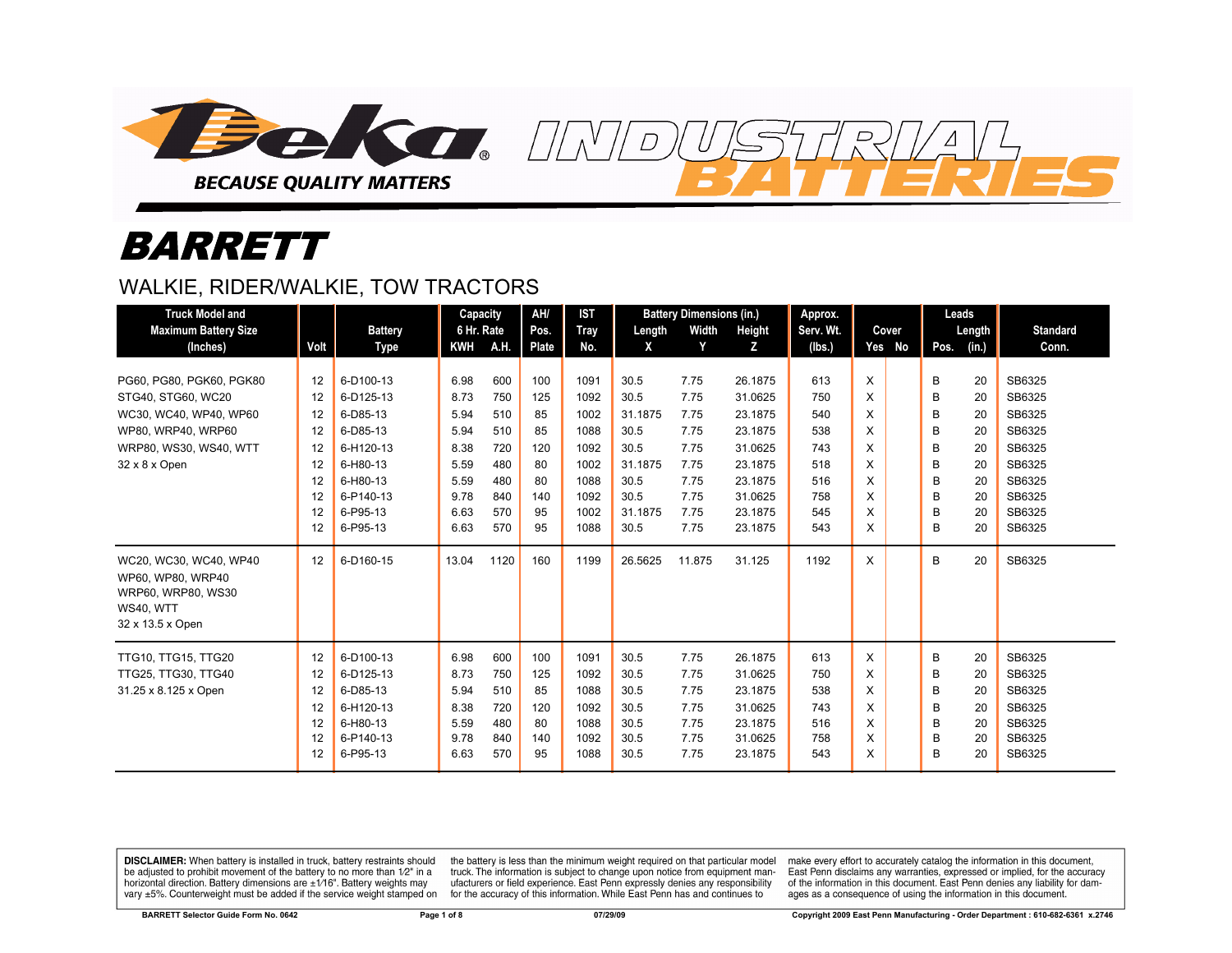

# *BARRETT*

#### WALKIE, RIDER/WALKIE, TOW TRACTORS

| <b>Truck Model and</b>                                                                             |      |                | Capacity   |      | AH/   | <b>IST</b> |         | <b>Battery Dimensions (in.)</b> |         | Approx.   |    |        | Leads |        |                 |
|----------------------------------------------------------------------------------------------------|------|----------------|------------|------|-------|------------|---------|---------------------------------|---------|-----------|----|--------|-------|--------|-----------------|
| <b>Maximum Battery Size</b>                                                                        |      | <b>Battery</b> | 6 Hr. Rate |      | Pos.  | Tray       | Length  | Width                           | Height  | Serv. Wt. |    | Cover  |       | Length | <b>Standard</b> |
| (Inches)                                                                                           | Volt | Type           | KWH        | A.H. | Plate | No.        | X       | Y                               | z       | (lbs.)    |    | Yes No | Pos.  | (in.)  | Conn.           |
|                                                                                                    |      |                |            |      |       |            |         |                                 |         |           |    |        |       |        |                 |
| PG60, PG80, PGK60, PGK80                                                                           | 12   | 6-D100-13      | 6.98       | 600  | 100   | 1091       | 30.5    | 7.75                            | 26.1875 | 613       | X  |        | B     | 20     | SB6325          |
| STG40, STG60, WC20                                                                                 | 12   | 6-D125-13      | 8.73       | 750  | 125   | 1092       | 30.5    | 7.75                            | 31.0625 | 750       | X  |        | B     | 20     | SB6325          |
| WC30, WC40, WP40, WP60                                                                             | 12   | 6-D85-13       | 5.94       | 510  | 85    | 1002       | 31.1875 | 7.75                            | 23.1875 | 540       | X  |        | B     | 20     | SB6325          |
| WP80, WRP40, WRP60                                                                                 | 12   | 6-D85-13       | 5.94       | 510  | 85    | 1088       | 30.5    | 7.75                            | 23.1875 | 538       | X  |        | B     | 20     | SB6325          |
| WRP80, WS30, WS40, WTT                                                                             | 12   | 6-H120-13      | 8.38       | 720  | 120   | 1092       | 30.5    | 7.75                            | 31.0625 | 743       | X  |        | B     | 20     | SB6325          |
| 32 x 8 x Open                                                                                      | 12   | 6-H80-13       | 5.59       | 480  | 80    | 1002       | 31.1875 | 7.75                            | 23.1875 | 518       | X  |        | B     | 20     | SB6325          |
|                                                                                                    | 12   | 6-H80-13       | 5.59       | 480  | 80    | 1088       | 30.5    | 7.75                            | 23.1875 | 516       | X. |        | B     | 20     | SB6325          |
|                                                                                                    | 12   | 6-P140-13      | 9.78       | 840  | 140   | 1092       | 30.5    | 7.75                            | 31.0625 | 758       | X  |        | B     | 20     | SB6325          |
|                                                                                                    | 12   | 6-P95-13       | 6.63       | 570  | 95    | 1002       | 31.1875 | 7.75                            | 23.1875 | 545       | X  |        | B     | 20     | SB6325          |
|                                                                                                    | 12   | 6-P95-13       | 6.63       | 570  | 95    | 1088       | 30.5    | 7.75                            | 23.1875 | 543       | X  |        | B     | 20     | SB6325          |
| WC20, WC30, WC40, WP40<br>WP60, WP80, WRP40<br>WRP60, WRP80, WS30<br>WS40, WTT<br>32 x 13.5 x Open | 12   | 6-D160-15      | 13.04      | 1120 | 160   | 1199       | 26.5625 | 11.875                          | 31.125  | 1192      | X  |        | B     | 20     | SB6325          |
| <b>TTG10, TTG15, TTG20</b>                                                                         | 12   | 6-D100-13      | 6.98       | 600  | 100   | 1091       | 30.5    | 7.75                            | 26.1875 | 613       | X  |        | В     | 20     | SB6325          |
| TTG25, TTG30, TTG40                                                                                | 12   | 6-D125-13      | 8.73       | 750  | 125   | 1092       | 30.5    | 7.75                            | 31.0625 | 750       | X  |        | B     | 20     | SB6325          |
| 31.25 x 8.125 x Open                                                                               | 12   | 6-D85-13       | 5.94       | 510  | 85    | 1088       | 30.5    | 7.75                            | 23.1875 | 538       | X  |        | B     | 20     | SB6325          |
|                                                                                                    | 12   | 6-H120-13      | 8.38       | 720  | 120   | 1092       | 30.5    | 7.75                            | 31.0625 | 743       | X  |        | B     | 20     | SB6325          |
|                                                                                                    | 12   | 6-H80-13       | 5.59       | 480  | 80    | 1088       | 30.5    | 7.75                            | 23.1875 | 516       | X  |        | B     | 20     | SB6325          |
|                                                                                                    | 12   | 6-P140-13      | 9.78       | 840  | 140   | 1092       | 30.5    | 7.75                            | 31.0625 | 758       | X  |        | B     | 20     | SB6325          |
|                                                                                                    | 12   | 6-P95-13       | 6.63       | 570  | 95    | 1088       | 30.5    | 7.75                            | 23.1875 | 543       | X  |        | B     | 20     | SB6325          |

 $\overline{D}$ 

DISCLAIMER: When battery is installed in truck, battery restraints should be adjusted to prohibit movement of the battery to no more than 1/2" in a horizontal direction. Battery dimensions are  $\pm 1/16$ ". Battery weights may vary ±5%. Counterweight must be added if the service weight stamped on

the battery is less than the minimum weight required on that particular model truck. The information is subject to change upon notice from equipment manufacturers or field experience. East Penn expressly denies any responsibility for the accuracy of this information. While East Penn has and continues to

make every effort to accurately catalog the information in this document, East Penn disclaims any warranties, expressed or implied, for the accuracy of the information in this document. East Penn denies any liability for damages as a consequence of using the information in this document.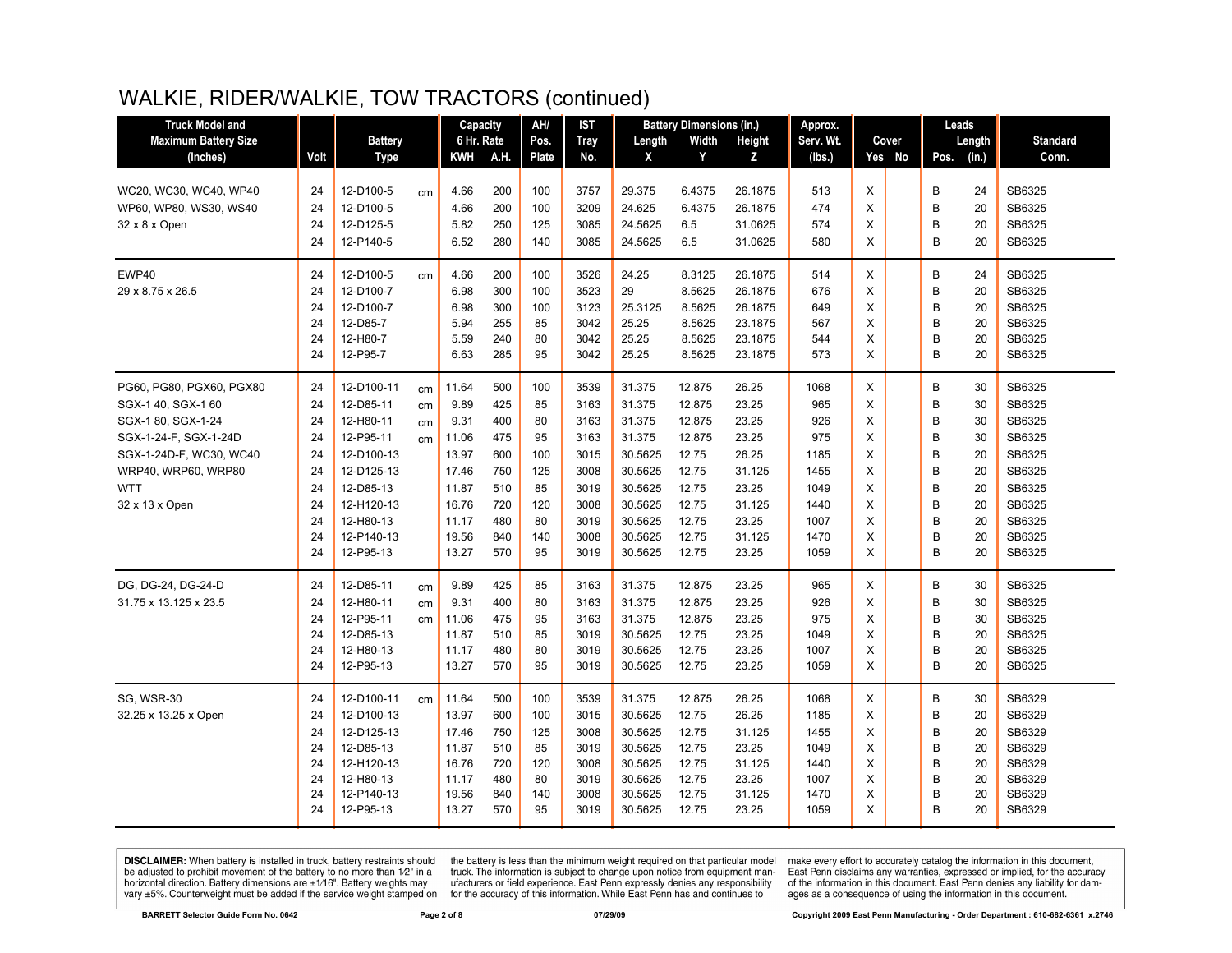# WALKIE, RIDER/WALKIE, TOW TRACTORS (continued)

| <b>Truck Model and</b>      |      |                |    | Capacity   |      | AH/   | IST         | <b>Battery Dimensions (in.)</b> |        | Approx. | Leads     |        |  |               |                 |
|-----------------------------|------|----------------|----|------------|------|-------|-------------|---------------------------------|--------|---------|-----------|--------|--|---------------|-----------------|
| <b>Maximum Battery Size</b> |      | <b>Battery</b> |    | 6 Hr. Rate |      | Pos.  | <b>Tray</b> | Length                          | Width  | Height  | Serv. Wt. | Cover  |  | Length        | <b>Standard</b> |
| (Inches)                    | Volt | <b>Type</b>    |    | <b>KWH</b> | A.H. | Plate | No.         | X                               | Y      | Z       | (lbs.)    | Yes No |  | (in.)<br>Pos. | Conn.           |
| WC20, WC30, WC40, WP40      | 24   | 12-D100-5      | cm | 4.66       | 200  | 100   | 3757        | 29.375                          | 6.4375 | 26.1875 | 513       | X      |  | В<br>24       | SB6325          |
| WP60, WP80, WS30, WS40      | 24   | 12-D100-5      |    | 4.66       | 200  | 100   | 3209        | 24.625                          | 6.4375 | 26.1875 | 474       | X      |  | B<br>20       | SB6325          |
| 32 x 8 x Open               | 24   | 12-D125-5      |    | 5.82       | 250  | 125   | 3085        | 24.5625                         | 6.5    | 31.0625 | 574       | X      |  | B<br>20       | SB6325          |
|                             | 24   | 12-P140-5      |    | 6.52       | 280  | 140   | 3085        | 24.5625                         | 6.5    | 31.0625 | 580       | X      |  | B<br>20       | SB6325          |
| EWP40                       | 24   | 12-D100-5      | cm | 4.66       | 200  | 100   | 3526        | 24.25                           | 8.3125 | 26.1875 | 514       | X      |  | В<br>24       | SB6325          |
| 29 x 8.75 x 26.5            | 24   | 12-D100-7      |    | 6.98       | 300  | 100   | 3523        | 29                              | 8.5625 | 26.1875 | 676       | X      |  | B<br>20       | SB6325          |
|                             | 24   | 12-D100-7      |    | 6.98       | 300  | 100   | 3123        | 25.3125                         | 8.5625 | 26.1875 | 649       | X      |  | B<br>20       | SB6325          |
|                             | 24   | 12-D85-7       |    | 5.94       | 255  | 85    | 3042        | 25.25                           | 8.5625 | 23.1875 | 567       | X      |  | B<br>20       | SB6325          |
|                             | 24   | 12-H80-7       |    | 5.59       | 240  | 80    | 3042        | 25.25                           | 8.5625 | 23.1875 | 544       | X      |  | B<br>20       | SB6325          |
|                             | 24   | 12-P95-7       |    | 6.63       | 285  | 95    | 3042        | 25.25                           | 8.5625 | 23.1875 | 573       | X      |  | B<br>20       | SB6325          |
| PG60, PG80, PGX60, PGX80    | 24   | 12-D100-11     | cm | 11.64      | 500  | 100   | 3539        | 31.375                          | 12.875 | 26.25   | 1068      | X      |  | В<br>30       | SB6325          |
| SGX-1 40, SGX-1 60          | 24   | 12-D85-11      | cm | 9.89       | 425  | 85    | 3163        | 31.375                          | 12.875 | 23.25   | 965       | X      |  | B<br>30       | SB6325          |
| SGX-1 80, SGX-1-24          | 24   | 12-H80-11      | cm | 9.31       | 400  | 80    | 3163        | 31.375                          | 12.875 | 23.25   | 926       | X      |  | B<br>30       | SB6325          |
| SGX-1-24-F, SGX-1-24D       | 24   | 12-P95-11      | cm | 11.06      | 475  | 95    | 3163        | 31.375                          | 12.875 | 23.25   | 975       | X      |  | B<br>30       | SB6325          |
| SGX-1-24D-F, WC30, WC40     | 24   | 12-D100-13     |    | 13.97      | 600  | 100   | 3015        | 30.5625                         | 12.75  | 26.25   | 1185      | X      |  | B<br>20       | SB6325          |
| WRP40, WRP60, WRP80         | 24   | 12-D125-13     |    | 17.46      | 750  | 125   | 3008        | 30.5625                         | 12.75  | 31.125  | 1455      | X      |  | B<br>20       | SB6325          |
| <b>WTT</b>                  | 24   | 12-D85-13      |    | 11.87      | 510  | 85    | 3019        | 30.5625                         | 12.75  | 23.25   | 1049      | X      |  | B<br>20       | SB6325          |
| 32 x 13 x Open              | 24   | 12-H120-13     |    | 16.76      | 720  | 120   | 3008        | 30.5625                         | 12.75  | 31.125  | 1440      | X      |  | B<br>20       | SB6325          |
|                             | 24   | 12-H80-13      |    | 11.17      | 480  | 80    | 3019        | 30.5625                         | 12.75  | 23.25   | 1007      | X      |  | B<br>20       | SB6325          |
|                             | 24   | 12-P140-13     |    | 19.56      | 840  | 140   | 3008        | 30.5625                         | 12.75  | 31.125  | 1470      | X      |  | B<br>20       | SB6325          |
|                             | 24   | 12-P95-13      |    | 13.27      | 570  | 95    | 3019        | 30.5625                         | 12.75  | 23.25   | 1059      | X      |  | B<br>20       | SB6325          |
| DG, DG-24, DG-24-D          | 24   | 12-D85-11      | cm | 9.89       | 425  | 85    | 3163        | 31.375                          | 12.875 | 23.25   | 965       | X      |  | B<br>30       | SB6325          |
| 31.75 x 13.125 x 23.5       | 24   | 12-H80-11      | cm | 9.31       | 400  | 80    | 3163        | 31.375                          | 12.875 | 23.25   | 926       | X      |  | B<br>30       | SB6325          |
|                             | 24   | 12-P95-11      | cm | 11.06      | 475  | 95    | 3163        | 31.375                          | 12.875 | 23.25   | 975       | X      |  | B<br>30       | SB6325          |
|                             | 24   | 12-D85-13      |    | 11.87      | 510  | 85    | 3019        | 30.5625                         | 12.75  | 23.25   | 1049      | X      |  | B<br>20       | SB6325          |
|                             | 24   | 12-H80-13      |    | 11.17      | 480  | 80    | 3019        | 30.5625                         | 12.75  | 23.25   | 1007      | X      |  | B<br>20       | SB6325          |
|                             | 24   | 12-P95-13      |    | 13.27      | 570  | 95    | 3019        | 30.5625                         | 12.75  | 23.25   | 1059      | X      |  | B<br>20       | SB6325          |
| SG, WSR-30                  | 24   | 12-D100-11     | cm | 11.64      | 500  | 100   | 3539        | 31.375                          | 12.875 | 26.25   | 1068      | X      |  | В<br>30       | SB6329          |
| 32.25 x 13.25 x Open        | 24   | 12-D100-13     |    | 13.97      | 600  | 100   | 3015        | 30.5625                         | 12.75  | 26.25   | 1185      | X      |  | B<br>20       | SB6329          |
|                             | 24   | 12-D125-13     |    | 17.46      | 750  | 125   | 3008        | 30.5625                         | 12.75  | 31.125  | 1455      | X      |  | B<br>20       | SB6329          |
|                             | 24   | 12-D85-13      |    | 11.87      | 510  | 85    | 3019        | 30.5625                         | 12.75  | 23.25   | 1049      | X      |  | B<br>20       | SB6329          |
|                             | 24   | 12-H120-13     |    | 16.76      | 720  | 120   | 3008        | 30.5625                         | 12.75  | 31.125  | 1440      | X      |  | B<br>20       | SB6329          |
|                             | 24   | 12-H80-13      |    | 11.17      | 480  | 80    | 3019        | 30.5625                         | 12.75  | 23.25   | 1007      | X      |  | B<br>20       | SB6329          |
|                             | 24   | 12-P140-13     |    | 19.56      | 840  | 140   | 3008        | 30.5625                         | 12.75  | 31.125  | 1470      | X      |  | B<br>20       | SB6329          |
|                             | 24   | 12-P95-13      |    | 13.27      | 570  | 95    | 3019        | 30.5625                         | 12.75  | 23.25   | 1059      | X      |  | B<br>20       | SB6329          |
|                             |      |                |    |            |      |       |             |                                 |        |         |           |        |  |               |                 |

**DISCLAIMER:** When battery is installed in truck, battery restraints should be adjusted to prohibit movement of the battery to no more than  $12^v$  in a horizontal direction. Battery dimensions are  $\pm 1/16^v$ . Battery wei

the battery is less than the minimum weight required on that particular model<br>truck. The information is subject to change upon notice from equipment manufacturers or field experience. East Penn expressly denies any responsibility for the accuracy of this information. While East Penn has and continues to

make every effort to accurately catalog the information in this document,<br>East Penn disclaims any warranties, expressed or implied, for the accuracy of the information in this document. East Penn denies any liability for damages as a consequence of using the information in this document.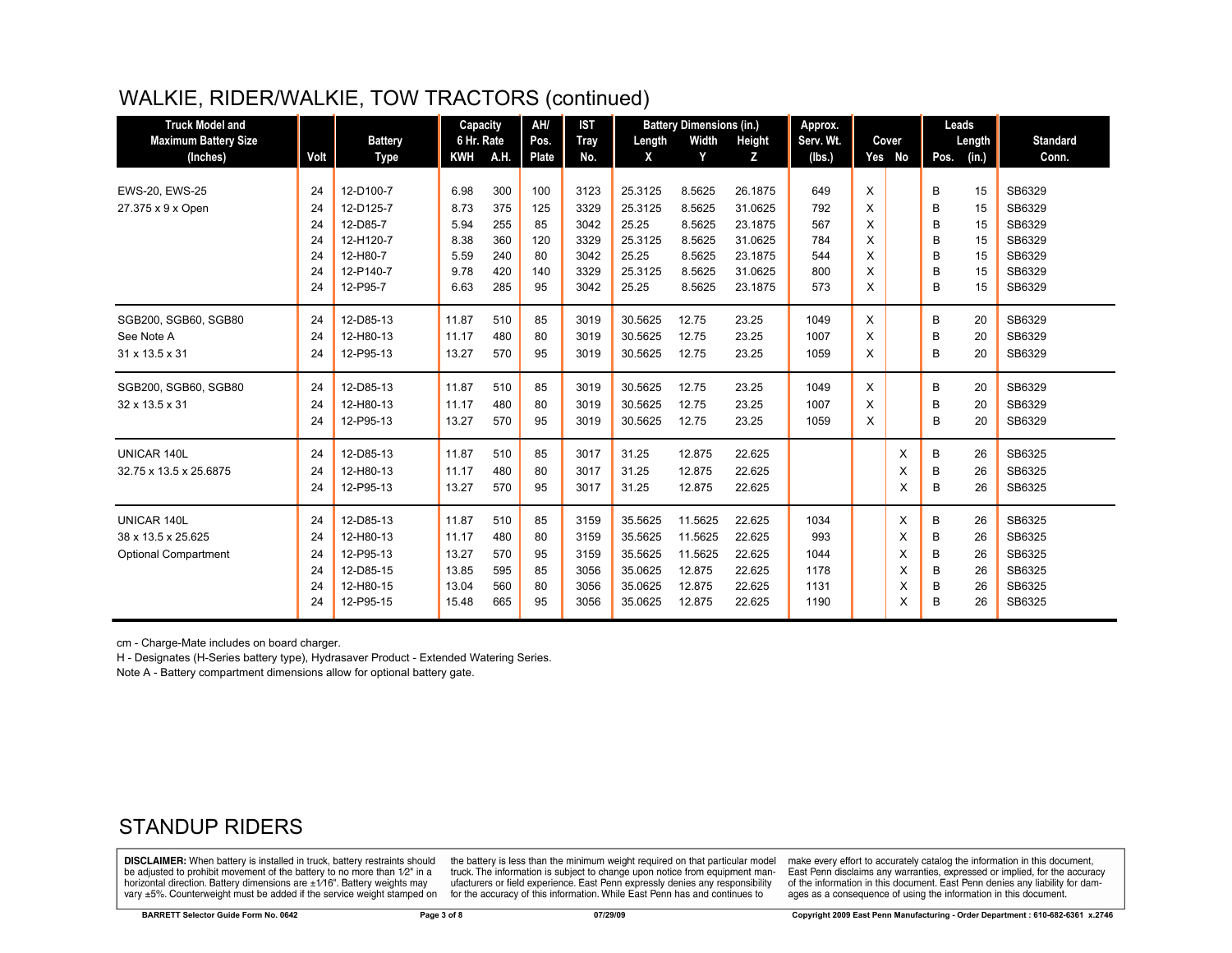# WALKIE, RIDER/WALKIE, TOW TRACTORS (continued)

| <b>Truck Model and</b>      |      |                | Capacity   |      | AH/<br><b>IST</b><br><b>Battery Dimensions (in.)</b> |             |              | Approx. |         |           |   | Leads  |      |        |                 |
|-----------------------------|------|----------------|------------|------|------------------------------------------------------|-------------|--------------|---------|---------|-----------|---|--------|------|--------|-----------------|
| <b>Maximum Battery Size</b> |      | <b>Battery</b> | 6 Hr. Rate |      | Pos.                                                 | <b>Tray</b> | Length       | Width   | Height  | Serv. Wt. |   | Cover  |      | Length | <b>Standard</b> |
| (Inches)                    | Volt | Type           | <b>KWH</b> | A.H. | <b>Plate</b>                                         | No.         | $\mathsf{x}$ | Y       | z       | (Ibs.)    |   | Yes No | Pos. | (in.)  | Conn.           |
|                             |      |                |            |      |                                                      |             |              |         |         |           |   |        |      |        |                 |
| EWS-20, EWS-25              | 24   | 12-D100-7      | 6.98       | 300  | 100                                                  | 3123        | 25.3125      | 8.5625  | 26.1875 | 649       | X |        | B    | 15     | SB6329          |
| 27.375 x 9 x Open           | 24   | 12-D125-7      | 8.73       | 375  | 125                                                  | 3329        | 25.3125      | 8.5625  | 31.0625 | 792       | X |        | B    | 15     | SB6329          |
|                             | 24   | 12-D85-7       | 5.94       | 255  | 85                                                   | 3042        | 25.25        | 8.5625  | 23.1875 | 567       | X |        | В    | 15     | SB6329          |
|                             | 24   | 12-H120-7      | 8.38       | 360  | 120                                                  | 3329        | 25.3125      | 8.5625  | 31.0625 | 784       | X |        | B    | 15     | SB6329          |
|                             | 24   | 12-H80-7       | 5.59       | 240  | 80                                                   | 3042        | 25.25        | 8.5625  | 23.1875 | 544       | X |        | B    | 15     | SB6329          |
|                             | 24   | 12-P140-7      | 9.78       | 420  | 140                                                  | 3329        | 25.3125      | 8.5625  | 31.0625 | 800       | X |        | B    | 15     | SB6329          |
|                             | 24   | 12-P95-7       | 6.63       | 285  | 95                                                   | 3042        | 25.25        | 8.5625  | 23.1875 | 573       | X |        | B    | 15     | SB6329          |
| SGB200, SGB60, SGB80        | 24   | 12-D85-13      | 11.87      | 510  | 85                                                   | 3019        | 30.5625      | 12.75   | 23.25   | 1049      | X |        | В    | 20     | SB6329          |
| See Note A                  | 24   | 12-H80-13      | 11.17      | 480  | 80                                                   | 3019        | 30.5625      | 12.75   | 23.25   | 1007      | X |        | B    | 20     | SB6329          |
| 31 x 13.5 x 31              | 24   | 12-P95-13      | 13.27      | 570  | 95                                                   | 3019        | 30.5625      | 12.75   | 23.25   | 1059      | X |        | B    | 20     | SB6329          |
| SGB200, SGB60, SGB80        | 24   | 12-D85-13      | 11.87      | 510  | 85                                                   | 3019        | 30.5625      | 12.75   | 23.25   | 1049      | X |        | В    | 20     | SB6329          |
| 32 x 13.5 x 31              | 24   | 12-H80-13      | 11.17      | 480  | 80                                                   | 3019        | 30.5625      | 12.75   | 23.25   | 1007      | Χ |        | B    | 20     | SB6329          |
|                             |      |                |            |      |                                                      |             |              |         |         |           |   |        |      |        |                 |
|                             | 24   | 12-P95-13      | 13.27      | 570  | 95                                                   | 3019        | 30.5625      | 12.75   | 23.25   | 1059      | X |        | B    | 20     | SB6329          |
| UNICAR 140L                 | 24   | 12-D85-13      | 11.87      | 510  | 85                                                   | 3017        | 31.25        | 12.875  | 22.625  |           |   | X      | В    | 26     | SB6325          |
| 32.75 x 13.5 x 25.6875      | 24   | 12-H80-13      | 11.17      | 480  | 80                                                   | 3017        | 31.25        | 12.875  | 22.625  |           |   | X      | B    | 26     | SB6325          |
|                             | 24   | 12-P95-13      | 13.27      | 570  | 95                                                   | 3017        | 31.25        | 12.875  | 22.625  |           |   | X      | B    | 26     | SB6325          |
| UNICAR 140L                 | 24   | 12-D85-13      | 11.87      | 510  | 85                                                   | 3159        | 35.5625      | 11.5625 | 22.625  | 1034      |   | X      | В    | 26     | SB6325          |
| 38 x 13.5 x 25.625          | 24   | 12-H80-13      | 11.17      | 480  | 80                                                   | 3159        | 35.5625      | 11.5625 | 22.625  | 993       |   | X      | В    | 26     | SB6325          |
| <b>Optional Compartment</b> | 24   | 12-P95-13      | 13.27      | 570  | 95                                                   | 3159        | 35.5625      | 11.5625 | 22.625  | 1044      |   | X      | B    | 26     | SB6325          |
|                             | 24   | 12-D85-15      | 13.85      | 595  | 85                                                   | 3056        | 35.0625      | 12.875  | 22.625  | 1178      |   | X      | B    | 26     | SB6325          |
|                             | 24   | 12-H80-15      | 13.04      | 560  | 80                                                   | 3056        | 35.0625      | 12.875  | 22.625  | 1131      |   | X      | B    | 26     | SB6325          |
|                             | 24   | 12-P95-15      | 15.48      | 665  | 95                                                   | 3056        | 35.0625      | 12.875  | 22.625  | 1190      |   | X      | в    | 26     | SB6325          |
|                             |      |                |            |      |                                                      |             |              |         |         |           |   |        |      |        |                 |

cm - Charge-Mate includes on board charger.

H - Designates (H-Series battery type), Hydrasaver Product - Extended Watering Series.

Note A - Battery compartment dimensions allow for optional battery gate.

#### STANDUP RIDERS

**DISCLAIMER:** When battery is installed in truck, battery restraints should be adjusted to prohibit movement of the battery to no more than 1/2" in a horizontal direction. Battery dimensions are  $\pm 1/16$ ". Battery weights may vary ±5%. Counterweight must be added if the service weight stamped on

the battery is less than the minimum weight required on that particular model truck. The information is subject to change upon notice from equipment manufacturers or field experience. East Penn expressly denies any responsibility for the accuracy of this information. While East Penn has and continues to

make every effort to accurately catalog the information in this document, East Penn disclaims any warranties, expressed or implied, for the accuracy of the information in this document. East Penn denies any liability for damages as a consequence of using the information in this document.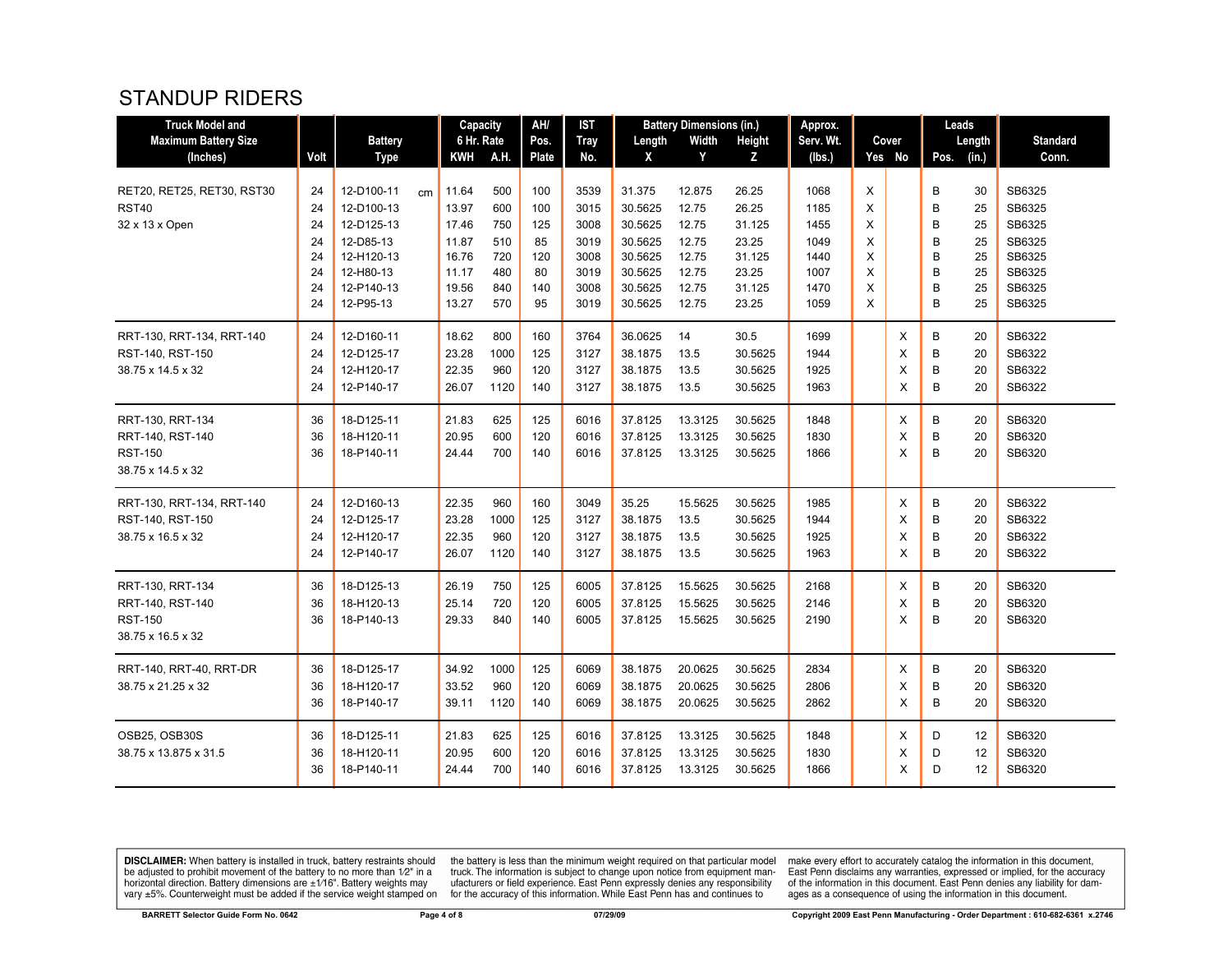#### STANDUP RIDERS

| <b>Truck Model and</b>                     |          |                          |    |                | AH/<br><b>IST</b><br>Capacity<br><b>Battery Dimensions (in.)</b> |            | Approx.      |                   |                 | Leads          |              |        |          |        |          |                  |
|--------------------------------------------|----------|--------------------------|----|----------------|------------------------------------------------------------------|------------|--------------|-------------------|-----------------|----------------|--------------|--------|----------|--------|----------|------------------|
| <b>Maximum Battery Size</b>                |          | <b>Battery</b>           |    | 6 Hr. Rate     |                                                                  | Pos.       | <b>Tray</b>  | Length            | Width           | <b>Height</b>  | Serv. Wt.    |        | Cover    |        | Length   | <b>Standard</b>  |
| (Inches)                                   | Volt     | <b>Type</b>              |    | KWH            | A.H.                                                             | Plate      | No.          | X                 | Y               | Z              | (lbs.)       |        | Yes No   | Pos.   | (in.)    | Conn.            |
| RET20, RET25, RET30, RST30<br><b>RST40</b> | 24<br>24 | 12-D100-11<br>12-D100-13 | cm | 11.64<br>13.97 | 500<br>600                                                       | 100<br>100 | 3539<br>3015 | 31.375<br>30.5625 | 12.875<br>12.75 | 26.25<br>26.25 | 1068<br>1185 | X<br>X |          | B<br>B | 30<br>25 | SB6325<br>SB6325 |
| 32 x 13 x Open                             | 24       | 12-D125-13               |    | 17.46          | 750                                                              | 125        | 3008         | 30.5625           | 12.75           | 31.125         | 1455         | X      |          | B      | 25       | SB6325           |
|                                            | 24       | 12-D85-13                |    | 11.87          | 510                                                              | 85         | 3019         | 30.5625           | 12.75           | 23.25          | 1049         | X      |          | B      | 25       | SB6325           |
|                                            | 24       | 12-H120-13               |    | 16.76          | 720                                                              | 120        | 3008         | 30.5625           | 12.75           | 31.125         | 1440         | X      |          | B      | 25       | SB6325           |
|                                            | 24       | 12-H80-13                |    | 11.17          | 480                                                              | 80         | 3019         | 30.5625           | 12.75           | 23.25          | 1007         | X      |          | B      | 25       | SB6325           |
|                                            | 24       | 12-P140-13               |    | 19.56          | 840                                                              | 140        | 3008         | 30.5625           | 12.75           | 31.125         | 1470         | X      |          | B      | 25       | SB6325           |
|                                            | 24       | 12-P95-13                |    | 13.27          | 570                                                              | 95         | 3019         | 30.5625           | 12.75           | 23.25          | 1059         | X      |          | B      | 25       | SB6325           |
| RRT-130, RRT-134, RRT-140                  | 24       | 12-D160-11               |    | 18.62          | 800                                                              | 160        | 3764         | 36.0625           | 14              | 30.5           | 1699         |        | X        | B      | 20       | SB6322           |
| RST-140, RST-150                           | 24       | 12-D125-17               |    | 23.28          | 1000                                                             | 125        | 3127         | 38.1875           | 13.5            | 30.5625        | 1944         |        | X        | B      | 20       | SB6322           |
| 38.75 x 14.5 x 32                          | 24       | 12-H120-17               |    | 22.35          | 960                                                              | 120        | 3127         | 38.1875           | 13.5            | 30.5625        | 1925         |        | X        | B      | 20       | SB6322           |
|                                            | 24       | 12-P140-17               |    | 26.07          | 1120                                                             | 140        | 3127         | 38.1875           | 13.5            | 30.5625        | 1963         |        | X        | B      | 20       | SB6322           |
| RRT-130, RRT-134                           | 36       | 18-D125-11               |    | 21.83          | 625                                                              | 125        | 6016         | 37.8125           | 13.3125         | 30.5625        | 1848         |        | $\times$ | В      | 20       | SB6320           |
| RRT-140, RST-140                           | 36       | 18-H120-11               |    | 20.95          | 600                                                              | 120        | 6016         | 37.8125           | 13.3125         | 30.5625        | 1830         |        | X        | B      | 20       | SB6320           |
| <b>RST-150</b>                             | 36       | 18-P140-11               |    | 24.44          | 700                                                              | 140        | 6016         | 37.8125           | 13.3125         | 30.5625        | 1866         |        | X        | B      | 20       | SB6320           |
| 38.75 x 14.5 x 32                          |          |                          |    |                |                                                                  |            |              |                   |                 |                |              |        |          |        |          |                  |
| RRT-130, RRT-134, RRT-140                  | 24       | 12-D160-13               |    | 22.35          | 960                                                              | 160        | 3049         | 35.25             | 15.5625         | 30.5625        | 1985         |        | X        | B      | 20       | SB6322           |
| RST-140, RST-150                           | 24       | 12-D125-17               |    | 23.28          | 1000                                                             | 125        | 3127         | 38.1875           | 13.5            | 30.5625        | 1944         |        | X        | B      | 20       | SB6322           |
| 38.75 x 16.5 x 32                          | 24       | 12-H120-17               |    | 22.35          | 960                                                              | 120        | 3127         | 38.1875           | 13.5            | 30.5625        | 1925         |        | X        | B      | 20       | SB6322           |
|                                            | 24       | 12-P140-17               |    | 26.07          | 1120                                                             | 140        | 3127         | 38.1875           | 13.5            | 30.5625        | 1963         |        | X        | B      | 20       | SB6322           |
| RRT-130, RRT-134                           | 36       | 18-D125-13               |    | 26.19          | 750                                                              | 125        | 6005         | 37.8125           | 15.5625         | 30.5625        | 2168         |        | X        | B      | 20       | SB6320           |
| RRT-140, RST-140                           | 36       | 18-H120-13               |    | 25.14          | 720                                                              | 120        | 6005         | 37.8125           | 15.5625         | 30.5625        | 2146         |        | X        | B      | 20       | SB6320           |
| <b>RST-150</b>                             | 36       | 18-P140-13               |    | 29.33          | 840                                                              | 140        | 6005         | 37.8125           | 15.5625         | 30.5625        | 2190         |        | X        | B      | 20       | SB6320           |
| 38.75 x 16.5 x 32                          |          |                          |    |                |                                                                  |            |              |                   |                 |                |              |        |          |        |          |                  |
| RRT-140, RRT-40, RRT-DR                    | 36       | 18-D125-17               |    | 34.92          | 1000                                                             | 125        | 6069         | 38.1875           | 20.0625         | 30.5625        | 2834         |        | X        | B      | 20       | SB6320           |
| 38.75 x 21.25 x 32                         | 36       | 18-H120-17               |    | 33.52          | 960                                                              | 120        | 6069         | 38.1875           | 20.0625         | 30.5625        | 2806         |        | X        | B      | 20       | SB6320           |
|                                            | 36       | 18-P140-17               |    | 39.11          | 1120                                                             | 140        | 6069         | 38.1875           | 20.0625         | 30.5625        | 2862         |        | X        | B      | 20       | SB6320           |
| OSB25, OSB30S                              | 36       | 18-D125-11               |    | 21.83          | 625                                                              | 125        | 6016         | 37.8125           | 13.3125         | 30.5625        | 1848         |        | X        | D      | 12       | SB6320           |
| 38.75 x 13.875 x 31.5                      | 36       | 18-H120-11               |    | 20.95          | 600                                                              | 120        | 6016         | 37.8125           | 13.3125         | 30.5625        | 1830         |        | X        | D      | 12       | SB6320           |
|                                            | 36       | 18-P140-11               |    | 24.44          | 700                                                              | 140        | 6016         | 37.8125           | 13.3125         | 30.5625        | 1866         |        | X        | D      | 12       | SB6320           |
|                                            |          |                          |    |                |                                                                  |            |              |                   |                 |                |              |        |          |        |          |                  |

**DISCLAIMER:** When battery is installed in truck, battery restraints should be adjusted to prohibit movement of the battery to no more than  $1/2$ " in a horizontal direction. Battery dimensions are  $\pm 1/16$ ". Battery weig

the battery is less than the minimum weight required on that particular model<br>truck. The information is subject to change upon notice from equipment man-<br>ufacturers or field experience. East Penn expressly denies any respo

make every effort to accurately catalog the information in this document,<br>East Penn disclaims any warranties, expressed or implied, for the accuracy<br>of the information in this document. East Penn denies any liability for d ages as a consequence of using the information in this document.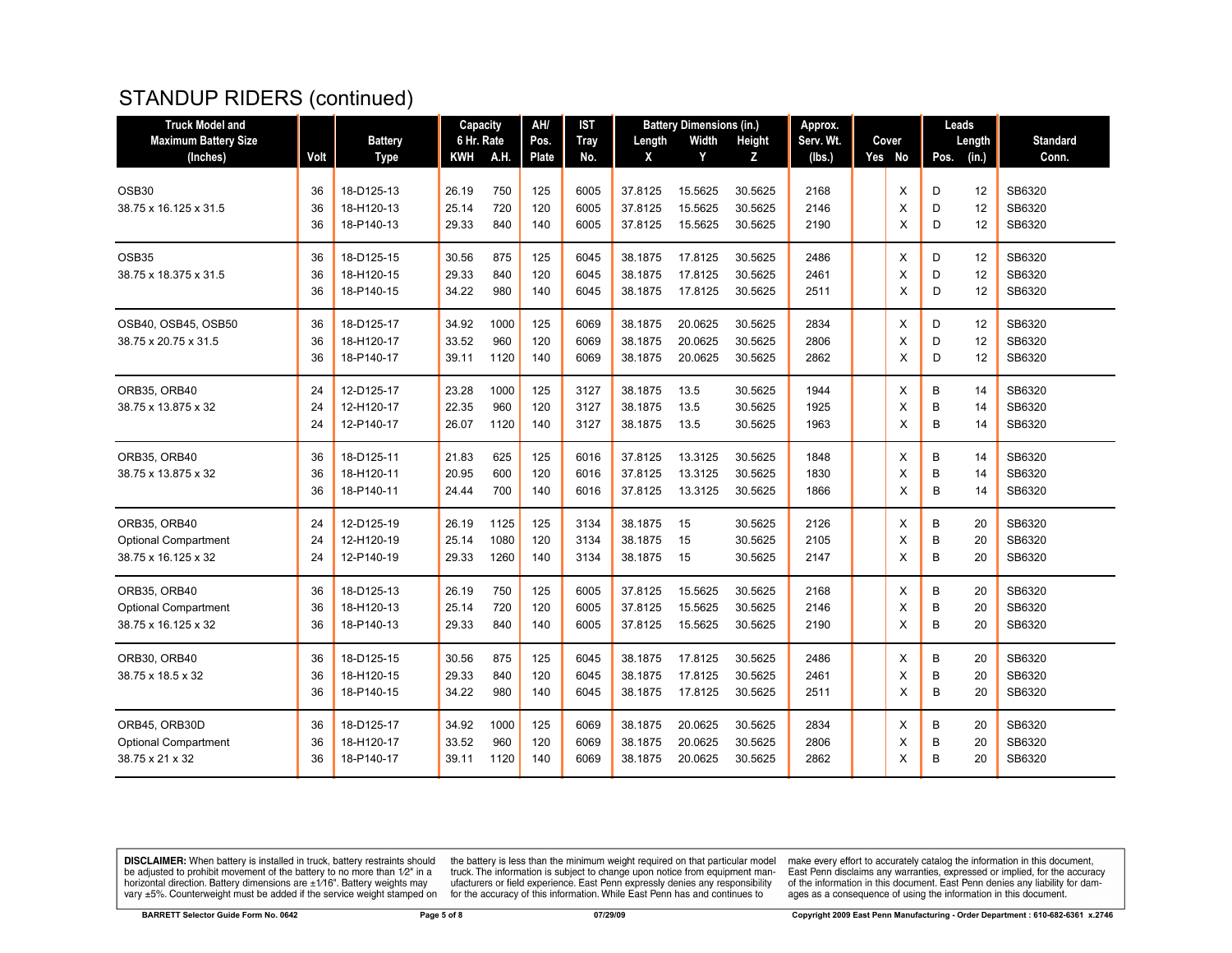# STANDUP RIDERS (continued)

| <b>Truck Model and</b>      |      |                | Capacity   |      | AH/   | <b>IST</b>  | <b>Battery Dimensions (in.)</b> |         | Approx. |           |  | Leads  |      |        |                 |
|-----------------------------|------|----------------|------------|------|-------|-------------|---------------------------------|---------|---------|-----------|--|--------|------|--------|-----------------|
| <b>Maximum Battery Size</b> |      | <b>Battery</b> | 6 Hr. Rate |      | Pos.  | <b>Tray</b> | Length                          | Width   | Height  | Serv. Wt. |  | Cover  |      | Length | <b>Standard</b> |
| (Inches)                    | Volt | <b>Type</b>    | KWH        | A.H. | Plate | No.         | X                               | Y       | Z       | (lbs.)    |  | Yes No | Pos. | (in.)  | Conn.           |
| OSB <sub>30</sub>           | 36   | 18-D125-13     | 26.19      | 750  | 125   | 6005        | 37.8125                         | 15.5625 | 30.5625 | 2168      |  | X      | D    | 12     | SB6320          |
| 38.75 x 16.125 x 31.5       | 36   | 18-H120-13     | 25.14      | 720  | 120   | 6005        | 37.8125                         | 15.5625 | 30.5625 | 2146      |  | X      | D    | 12     | SB6320          |
|                             | 36   | 18-P140-13     | 29.33      | 840  | 140   | 6005        | 37.8125                         | 15.5625 | 30.5625 | 2190      |  | X      | D    | 12     | SB6320          |
| OSB35                       | 36   | 18-D125-15     | 30.56      | 875  | 125   | 6045        | 38.1875                         | 17.8125 | 30.5625 | 2486      |  | X      | D    | 12     | SB6320          |
| 38.75 x 18.375 x 31.5       | 36   | 18-H120-15     | 29.33      | 840  | 120   | 6045        | 38.1875                         | 17.8125 | 30.5625 | 2461      |  | X      | D    | 12     | SB6320          |
|                             | 36   | 18-P140-15     | 34.22      | 980  | 140   | 6045        | 38.1875                         | 17.8125 | 30.5625 | 2511      |  | X      | D    | 12     | SB6320          |
| OSB40, OSB45, OSB50         | 36   | 18-D125-17     | 34.92      | 1000 | 125   | 6069        | 38.1875                         | 20.0625 | 30.5625 | 2834      |  | X      | D    | 12     | SB6320          |
| 38.75 x 20.75 x 31.5        | 36   | 18-H120-17     | 33.52      | 960  | 120   | 6069        | 38.1875                         | 20.0625 | 30.5625 | 2806      |  | X      | D    | 12     | SB6320          |
|                             | 36   | 18-P140-17     | 39.11      | 1120 | 140   | 6069        | 38.1875                         | 20.0625 | 30.5625 | 2862      |  | X      | D    | 12     | SB6320          |
| ORB35, ORB40                | 24   | 12-D125-17     | 23.28      | 1000 | 125   | 3127        | 38.1875                         | 13.5    | 30.5625 | 1944      |  | X      | В    | 14     | SB6320          |
| 38.75 x 13.875 x 32         | 24   | 12-H120-17     | 22.35      | 960  | 120   | 3127        | 38.1875                         | 13.5    | 30.5625 | 1925      |  | X      | B    | 14     | SB6320          |
|                             | 24   | 12-P140-17     | 26.07      | 1120 | 140   | 3127        | 38.1875                         | 13.5    | 30.5625 | 1963      |  | X      | B    | 14     | SB6320          |
| ORB35, ORB40                | 36   | 18-D125-11     | 21.83      | 625  | 125   | 6016        | 37.8125                         | 13.3125 | 30.5625 | 1848      |  | X      | B    | 14     | SB6320          |
| 38.75 x 13.875 x 32         | 36   | 18-H120-11     | 20.95      | 600  | 120   | 6016        | 37.8125                         | 13.3125 | 30.5625 | 1830      |  | X      | B    | 14     | SB6320          |
|                             | 36   | 18-P140-11     | 24.44      | 700  | 140   | 6016        | 37.8125                         | 13.3125 | 30.5625 | 1866      |  | X      | B    | 14     | SB6320          |
| ORB35, ORB40                | 24   | 12-D125-19     | 26.19      | 1125 | 125   | 3134        | 38.1875                         | 15      | 30.5625 | 2126      |  | X      | B    | 20     | SB6320          |
| <b>Optional Compartment</b> | 24   | 12-H120-19     | 25.14      | 1080 | 120   | 3134        | 38.1875                         | 15      | 30.5625 | 2105      |  | X      | B    | 20     | SB6320          |
| 38.75 x 16.125 x 32         | 24   | 12-P140-19     | 29.33      | 1260 | 140   | 3134        | 38.1875                         | 15      | 30.5625 | 2147      |  | X      | B    | 20     | SB6320          |
| ORB35, ORB40                | 36   | 18-D125-13     | 26.19      | 750  | 125   | 6005        | 37.8125                         | 15.5625 | 30.5625 | 2168      |  | Х      | В    | 20     | SB6320          |
| <b>Optional Compartment</b> | 36   | 18-H120-13     | 25.14      | 720  | 120   | 6005        | 37.8125                         | 15.5625 | 30.5625 | 2146      |  | X      | B    | 20     | SB6320          |
| 38.75 x 16.125 x 32         | 36   | 18-P140-13     | 29.33      | 840  | 140   | 6005        | 37.8125                         | 15.5625 | 30.5625 | 2190      |  | X      | B    | 20     | SB6320          |
| ORB30, ORB40                | 36   | 18-D125-15     | 30.56      | 875  | 125   | 6045        | 38.1875                         | 17.8125 | 30.5625 | 2486      |  | X      | B    | 20     | SB6320          |
| 38.75 x 18.5 x 32           | 36   | 18-H120-15     | 29.33      | 840  | 120   | 6045        | 38.1875                         | 17.8125 | 30.5625 | 2461      |  | X      | B    | 20     | SB6320          |
|                             | 36   | 18-P140-15     | 34.22      | 980  | 140   | 6045        | 38.1875                         | 17.8125 | 30.5625 | 2511      |  | X      | B    | 20     | SB6320          |
| ORB45, ORB30D               | 36   | 18-D125-17     | 34.92      | 1000 | 125   | 6069        | 38.1875                         | 20.0625 | 30.5625 | 2834      |  | X      | В    | 20     | SB6320          |
| <b>Optional Compartment</b> | 36   | 18-H120-17     | 33.52      | 960  | 120   | 6069        | 38.1875                         | 20.0625 | 30.5625 | 2806      |  | Х      | B    | 20     | SB6320          |
| 38.75 x 21 x 32             | 36   | 18-P140-17     | 39.11      | 1120 | 140   | 6069        | 38.1875                         | 20.0625 | 30.5625 | 2862      |  | X      | B    | 20     | SB6320          |
|                             |      |                |            |      |       |             |                                 |         |         |           |  |        |      |        |                 |

**DISCLAIMER:** When battery is installed in truck, battery restraints should be adjusted to prohibit movement of the battery to no more than  $1/2$ " in a horizontal direction. Battery dimensions are  $\pm 1/16$ ". Battery weig

the battery is less than the minimum weight required on that particular model<br>truck. The information is subject to change upon notice from equipment man-<br>ufacturers or field experience. East Penn expressly denies any respo

make every effort to accurately catalog the information in this document,<br>East Penn disclaims any warranties, expressed or implied, for the accuracy of the information in this document. East Penn denies any liability for damages as a consequence of using the information in this document.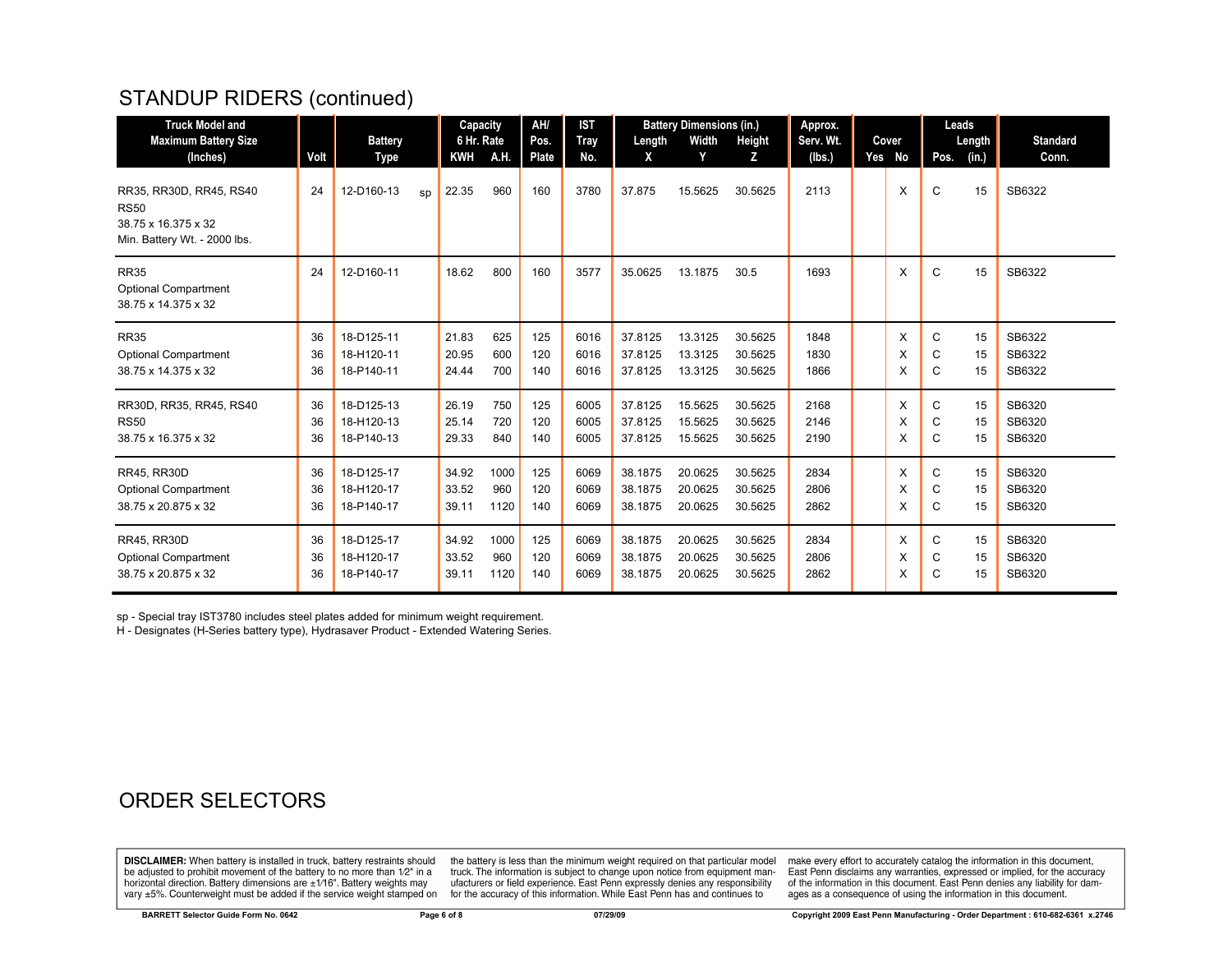# STANDUP RIDERS (continued)

| <b>Truck Model and</b><br><b>Maximum Battery Size</b>                                         |      | <b>Battery</b>   | Capacity<br>6 Hr. Rate |      | AH/<br>Pos. | <b>IST</b><br><b>Tray</b> | Length  | <b>Battery Dimensions (in.)</b><br>Width | Height  | Approx.<br>Serv. Wt. | Cover  | Leads | Length | <b>Standard</b> |
|-----------------------------------------------------------------------------------------------|------|------------------|------------------------|------|-------------|---------------------------|---------|------------------------------------------|---------|----------------------|--------|-------|--------|-----------------|
| (Inches)                                                                                      | Volt | Type             | <b>KWH</b>             | A.H. | Plate       | No.                       | X       | Y                                        | z       | (lbs.)               | Yes No | Pos.  | (in.)  | Conn.           |
| RR35, RR30D, RR45, RS40<br><b>RS50</b><br>38.75 x 16.375 x 32<br>Min. Battery Wt. - 2000 lbs. | 24   | 12-D160-13<br>sp | 22.35                  | 960  | 160         | 3780                      | 37.875  | 15.5625                                  | 30.5625 | 2113                 | X      | C     | 15     | SB6322          |
| <b>RR35</b><br><b>Optional Compartment</b><br>38.75 x 14.375 x 32                             | 24   | 12-D160-11       | 18.62                  | 800  | 160         | 3577                      | 35.0625 | 13.1875                                  | 30.5    | 1693                 | X      | C     | 15     | SB6322          |
| <b>RR35</b>                                                                                   | 36   | 18-D125-11       | 21.83                  | 625  | 125         | 6016                      | 37.8125 | 13.3125                                  | 30.5625 | 1848                 | X      | C     | 15     | SB6322          |
| <b>Optional Compartment</b>                                                                   | 36   | 18-H120-11       | 20.95                  | 600  | 120         | 6016                      | 37.8125 | 13.3125                                  | 30.5625 | 1830                 | X      | C     | 15     | SB6322          |
| 38.75 x 14.375 x 32                                                                           | 36   | 18-P140-11       | 24.44                  | 700  | 140         | 6016                      | 37.8125 | 13.3125                                  | 30.5625 | 1866                 | X      | C     | 15     | SB6322          |
| RR30D, RR35, RR45, RS40                                                                       | 36   | 18-D125-13       | 26.19                  | 750  | 125         | 6005                      | 37.8125 | 15.5625                                  | 30.5625 | 2168                 | X      | C     | 15     | SB6320          |
| <b>RS50</b>                                                                                   | 36   | 18-H120-13       | 25.14                  | 720  | 120         | 6005                      | 37.8125 | 15.5625                                  | 30.5625 | 2146                 | X      | С     | 15     | SB6320          |
| 38.75 x 16.375 x 32                                                                           | 36   | 18-P140-13       | 29.33                  | 840  | 140         | 6005                      | 37.8125 | 15.5625                                  | 30.5625 | 2190                 | X      | С     | 15     | SB6320          |
| RR45, RR30D                                                                                   | 36   | 18-D125-17       | 34.92                  | 1000 | 125         | 6069                      | 38.1875 | 20.0625                                  | 30.5625 | 2834                 | X      | C     | 15     | SB6320          |
| <b>Optional Compartment</b>                                                                   | 36   | 18-H120-17       | 33.52                  | 960  | 120         | 6069                      | 38.1875 | 20.0625                                  | 30.5625 | 2806                 | X      | С     | 15     | SB6320          |
| 38.75 x 20.875 x 32                                                                           | 36   | 18-P140-17       | 39.11                  | 1120 | 140         | 6069                      | 38.1875 | 20.0625                                  | 30.5625 | 2862                 | X      | C     | 15     | SB6320          |
| <b>RR45, RR30D</b>                                                                            | 36   | 18-D125-17       | 34.92                  | 1000 | 125         | 6069                      | 38.1875 | 20.0625                                  | 30.5625 | 2834                 | X      | C     | 15     | SB6320          |
| <b>Optional Compartment</b>                                                                   | 36   | 18-H120-17       | 33.52                  | 960  | 120         | 6069                      | 38.1875 | 20.0625                                  | 30.5625 | 2806                 | X      | C     | 15     | SB6320          |
| 38.75 x 20.875 x 32                                                                           | 36   | 18-P140-17       | 39.11                  | 1120 | 140         | 6069                      | 38.1875 | 20.0625                                  | 30.5625 | 2862                 | Х      | С     | 15     | SB6320          |

sp - Special tray IST3780 includes steel plates added for minimum weight requirement.

H - Designates (H-Series battery type), Hydrasaver Product - Extended Watering Series.

## ORDER SELECTORS

**DISCLAIMER:** When battery is installed in truck, battery restraints should be adjusted to prohibit movement of the battery to no more than 1/2" in a be added in the behavior of the behavior of the behavior of the behavior of the behavior of the behavior of the behavior of the behavior of the service weight sharped on vary  $\pm$ 5%. Counterweight must be added if the ser

the battery is less than the minimum weight required on that particular model<br>truck. The information is subject to change upon notice from equipment manufacturers or field experience. East Penn expressly denies any responsibility for the accuracy of this information. While East Penn has and continues to

make every effort to accurately catalog the information in this document,<br>East Penn disclaims any warranties, expressed or implied, for the accuracy of the information in this document. East Penn denies any liability for damages as a consequence of using the information in this document.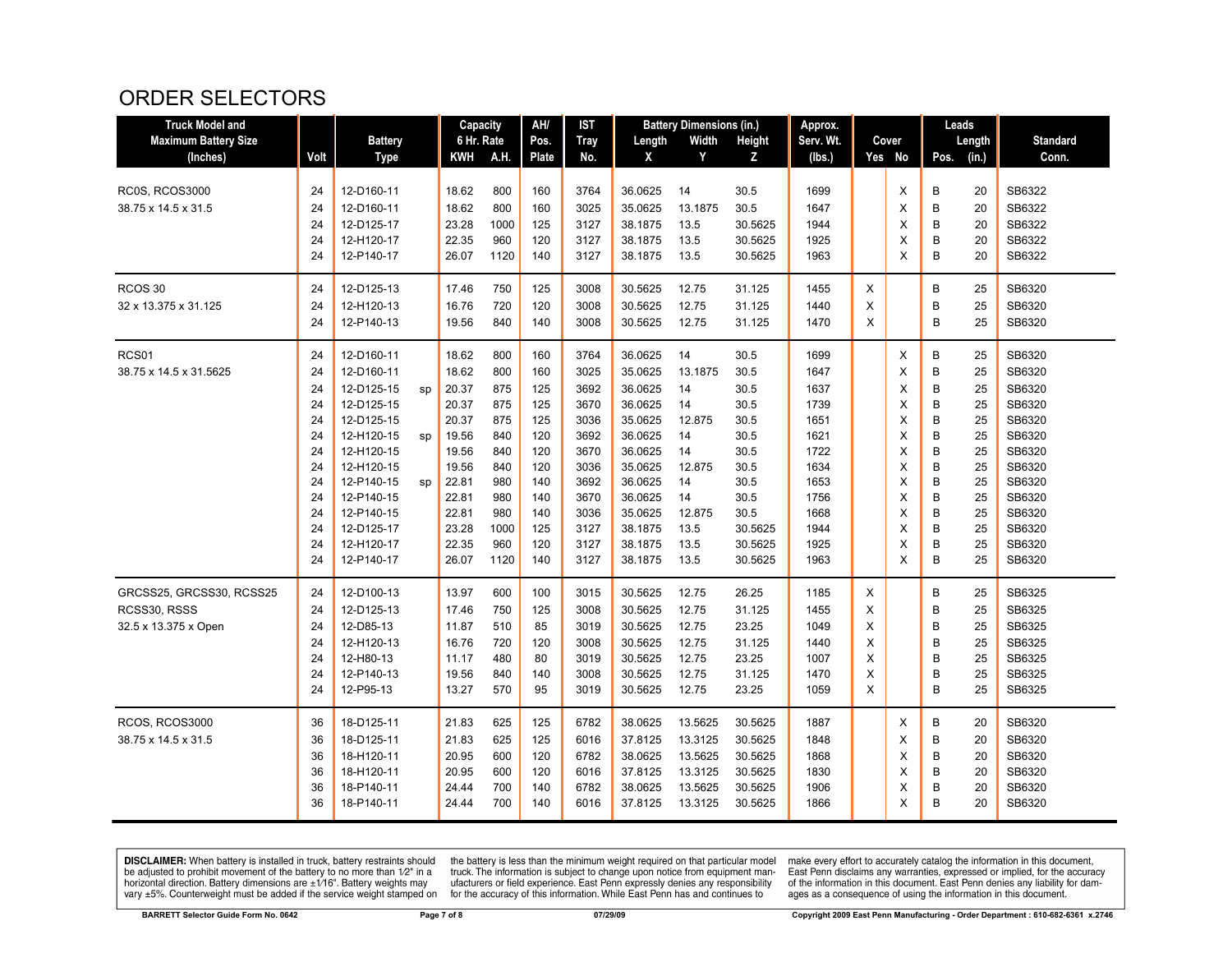## ORDER SELECTORS

| <b>Truck Model and</b>      |      |                |    | Capacity   |      | AH/   | IST         |         | <b>Battery Dimensions (in.)</b> |               | Approx.   |   |        | Leads |        |                 |
|-----------------------------|------|----------------|----|------------|------|-------|-------------|---------|---------------------------------|---------------|-----------|---|--------|-------|--------|-----------------|
| <b>Maximum Battery Size</b> |      | <b>Battery</b> |    | 6 Hr. Rate |      | Pos.  | <b>Tray</b> | Length  | Width                           | <b>Height</b> | Serv. Wt. |   | Cover  |       | Length | <b>Standard</b> |
| (Inches)                    | Volt | <b>Type</b>    |    | KWH        | A.H. | Plate | No.         | X       | Y                               | Z             | (Ibs.)    |   | Yes No | Pos.  | (in.)  | Conn.           |
|                             |      |                |    |            |      |       |             |         |                                 |               |           |   |        |       |        |                 |
| <b>RC0S, RCOS3000</b>       | 24   | 12-D160-11     |    | 18.62      | 800  | 160   | 3764        | 36.0625 | 14                              | 30.5          | 1699      |   | X      | B     | 20     | SB6322          |
| 38.75 x 14.5 x 31.5         | 24   | 12-D160-11     |    | 18.62      | 800  | 160   | 3025        | 35.0625 | 13.1875                         | 30.5          | 1647      |   | X      | B     | 20     | SB6322          |
|                             | 24   | 12-D125-17     |    | 23.28      | 1000 | 125   | 3127        | 38.1875 | 13.5                            | 30.5625       | 1944      |   | X      | B     | 20     | SB6322          |
|                             | 24   | 12-H120-17     |    | 22.35      | 960  | 120   | 3127        | 38.1875 | 13.5                            | 30.5625       | 1925      |   | X      | B     | 20     | SB6322          |
|                             | 24   | 12-P140-17     |    | 26.07      | 1120 | 140   | 3127        | 38.1875 | 13.5                            | 30.5625       | 1963      |   | X      | B     | 20     | SB6322          |
| RCOS <sub>30</sub>          | 24   | 12-D125-13     |    | 17.46      | 750  | 125   | 3008        | 30.5625 | 12.75                           | 31.125        | 1455      | X |        | B     | 25     | SB6320          |
| 32 x 13.375 x 31.125        | 24   | 12-H120-13     |    | 16.76      | 720  | 120   | 3008        | 30.5625 | 12.75                           | 31.125        | 1440      | X |        | B     | 25     | SB6320          |
|                             | 24   | 12-P140-13     |    | 19.56      | 840  | 140   | 3008        | 30.5625 | 12.75                           | 31.125        | 1470      | X |        | B     | 25     | SB6320          |
| RCS01                       | 24   | 12-D160-11     |    | 18.62      | 800  | 160   | 3764        | 36.0625 | 14                              | 30.5          | 1699      |   | X      | B     | 25     | SB6320          |
| 38.75 x 14.5 x 31.5625      | 24   | 12-D160-11     |    | 18.62      | 800  | 160   | 3025        | 35.0625 | 13.1875                         | 30.5          | 1647      |   | X      | B     | 25     | SB6320          |
|                             | 24   | 12-D125-15     | sp | 20.37      | 875  | 125   | 3692        | 36.0625 | 14                              | 30.5          | 1637      |   | X      | B     | 25     | SB6320          |
|                             | 24   | 12-D125-15     |    | 20.37      | 875  | 125   | 3670        | 36.0625 | 14                              | 30.5          | 1739      |   | X      | B     | 25     | SB6320          |
|                             | 24   | 12-D125-15     |    | 20.37      | 875  | 125   | 3036        | 35.0625 | 12.875                          | 30.5          | 1651      |   | X      | B     | 25     | SB6320          |
|                             | 24   | 12-H120-15     | sp | 19.56      | 840  | 120   | 3692        | 36.0625 | 14                              | 30.5          | 1621      |   | X      | B     | 25     | SB6320          |
|                             | 24   | 12-H120-15     |    | 19.56      | 840  | 120   | 3670        | 36.0625 | 14                              | 30.5          | 1722      |   | X      | B     | 25     | SB6320          |
|                             | 24   | 12-H120-15     |    | 19.56      | 840  | 120   | 3036        | 35.0625 | 12.875                          | 30.5          | 1634      |   | X      | B     | 25     | SB6320          |
|                             | 24   | 12-P140-15     | sp | 22.81      | 980  | 140   | 3692        | 36.0625 | 14                              | 30.5          | 1653      |   | X      | B     | 25     | SB6320          |
|                             | 24   | 12-P140-15     |    | 22.81      | 980  | 140   | 3670        | 36.0625 | 14                              | 30.5          | 1756      |   | X      | B     | 25     | SB6320          |
|                             | 24   | 12-P140-15     |    | 22.81      | 980  | 140   | 3036        | 35.0625 | 12.875                          | 30.5          | 1668      |   | X      | B     | 25     | SB6320          |
|                             | 24   | 12-D125-17     |    | 23.28      | 1000 | 125   | 3127        | 38.1875 | 13.5                            | 30.5625       | 1944      |   | X      | B     | 25     | SB6320          |
|                             | 24   | 12-H120-17     |    | 22.35      | 960  | 120   | 3127        | 38.1875 | 13.5                            | 30.5625       | 1925      |   | X      | B     | 25     | SB6320          |
|                             | 24   | 12-P140-17     |    | 26.07      | 1120 | 140   | 3127        | 38.1875 | 13.5                            | 30.5625       | 1963      |   | X      | B     | 25     | SB6320          |
| GRCSS25, GRCSS30, RCSS25    | 24   | 12-D100-13     |    | 13.97      | 600  | 100   | 3015        | 30.5625 | 12.75                           | 26.25         | 1185      | X |        | B     | 25     | SB6325          |
| RCSS30, RSSS                | 24   | 12-D125-13     |    | 17.46      | 750  | 125   | 3008        | 30.5625 | 12.75                           | 31.125        | 1455      | X |        | B     | 25     | SB6325          |
| 32.5 x 13.375 x Open        | 24   | 12-D85-13      |    | 11.87      | 510  | 85    | 3019        | 30.5625 | 12.75                           | 23.25         | 1049      | X |        | B     | 25     | SB6325          |
|                             | 24   | 12-H120-13     |    | 16.76      | 720  | 120   | 3008        | 30.5625 | 12.75                           | 31.125        | 1440      | X |        | B     | 25     | SB6325          |
|                             | 24   | 12-H80-13      |    | 11.17      | 480  | 80    | 3019        | 30.5625 | 12.75                           | 23.25         | 1007      | X |        | B     | 25     | SB6325          |
|                             | 24   | 12-P140-13     |    | 19.56      | 840  | 140   | 3008        | 30.5625 | 12.75                           | 31.125        | 1470      | X |        | B     | 25     | SB6325          |
|                             | 24   | 12-P95-13      |    | 13.27      | 570  | 95    | 3019        | 30.5625 | 12.75                           | 23.25         | 1059      | X |        | B     | 25     | SB6325          |
| RCOS, RCOS3000              | 36   | 18-D125-11     |    | 21.83      | 625  | 125   | 6782        | 38.0625 | 13.5625                         | 30.5625       | 1887      |   | Х      | B     | 20     | SB6320          |
| 38.75 x 14.5 x 31.5         | 36   | 18-D125-11     |    | 21.83      | 625  | 125   | 6016        | 37.8125 | 13.3125                         | 30.5625       | 1848      |   | X      | B     | 20     | SB6320          |
|                             | 36   | 18-H120-11     |    | 20.95      | 600  | 120   | 6782        | 38.0625 | 13.5625                         | 30.5625       | 1868      |   | X      | В     | 20     | SB6320          |
|                             | 36   | 18-H120-11     |    | 20.95      | 600  | 120   | 6016        | 37.8125 | 13.3125                         | 30.5625       | 1830      |   | X      | B     | 20     | SB6320          |
|                             | 36   | 18-P140-11     |    | 24.44      | 700  | 140   | 6782        | 38.0625 | 13.5625                         | 30.5625       | 1906      |   | X      | B     | 20     | SB6320          |
|                             | 36   | 18-P140-11     |    | 24.44      | 700  | 140   | 6016        | 37.8125 | 13.3125                         | 30.5625       | 1866      |   | X      | B     | 20     | SB6320          |

**DISCLAIMER:** When battery is installed in truck, battery restraints should be adjusted to prohibit movement of the battery to no more than  $1/2$ " in a horizontal direction. Battery dimensions are  $\pm 1/16$ ". Battery weig

the battery is less than the minimum weight required on that particular model<br>truck. The information is subject to change upon notice from equipment man-<br>ufacturers or field experience. East Penn expressly denies any respo

make every effort to accurately catalog the information in this document,<br>East Penn disclaims any warranties, expressed or implied, for the accuracy<br>of the information in this document. East Penn denies any liability for d ages as a consequence of using the information in this document.